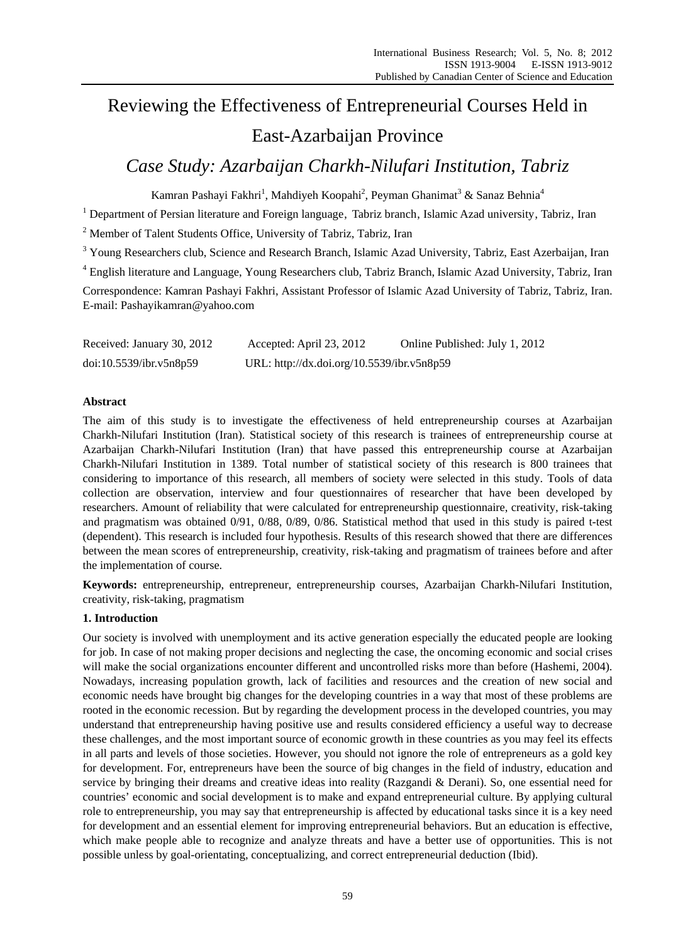# Reviewing the Effectiveness of Entrepreneurial Courses Held in East-Azarbaijan Province

*Case Study: Azarbaijan Charkh-Nilufari Institution, Tabriz* 

Kamran Pashayi Fakhri<sup>1</sup>, Mahdiyeh Koopahi<sup>2</sup>, Peyman Ghanimat<sup>3</sup> & Sanaz Behnia<sup>4</sup>

<sup>1</sup> Department of Persian literature and Foreign language, Tabriz branch, Islamic Azad university, Tabriz, Iran

<sup>2</sup> Member of Talent Students Office, University of Tabriz, Tabriz, Iran

<sup>3</sup> Young Researchers club, Science and Research Branch, Islamic Azad University, Tabriz, East Azerbaijan, Iran

<sup>4</sup> English literature and Language, Young Researchers club, Tabriz Branch, Islamic Azad University, Tabriz, Iran Correspondence: Kamran Pashayi Fakhri, Assistant Professor of Islamic Azad University of Tabriz, Tabriz, Iran. E-mail: Pashayikamran@yahoo.com

| Received: January 30, 2012 | Accepted: April 23, 2012                   | Online Published: July 1, 2012 |
|----------------------------|--------------------------------------------|--------------------------------|
| doi:10.5539/ibr.v5n8p59    | URL: http://dx.doi.org/10.5539/ibr.v5n8p59 |                                |

# **Abstract**

The aim of this study is to investigate the effectiveness of held entrepreneurship courses at Azarbaijan Charkh-Nilufari Institution (Iran). Statistical society of this research is trainees of entrepreneurship course at Azarbaijan Charkh-Nilufari Institution (Iran) that have passed this entrepreneurship course at Azarbaijan Charkh-Nilufari Institution in 1389. Total number of statistical society of this research is 800 trainees that considering to importance of this research, all members of society were selected in this study. Tools of data collection are observation, interview and four questionnaires of researcher that have been developed by researchers. Amount of reliability that were calculated for entrepreneurship questionnaire, creativity, risk-taking and pragmatism was obtained 0/91, 0/88, 0/89, 0/86. Statistical method that used in this study is paired t-test (dependent). This research is included four hypothesis. Results of this research showed that there are differences between the mean scores of entrepreneurship, creativity, risk-taking and pragmatism of trainees before and after the implementation of course.

**Keywords:** entrepreneurship, entrepreneur, entrepreneurship courses, Azarbaijan Charkh-Nilufari Institution, creativity, risk-taking, pragmatism

## **1. Introduction**

Our society is involved with unemployment and its active generation especially the educated people are looking for job. In case of not making proper decisions and neglecting the case, the oncoming economic and social crises will make the social organizations encounter different and uncontrolled risks more than before (Hashemi, 2004). Nowadays, increasing population growth, lack of facilities and resources and the creation of new social and economic needs have brought big changes for the developing countries in a way that most of these problems are rooted in the economic recession. But by regarding the development process in the developed countries, you may understand that entrepreneurship having positive use and results considered efficiency a useful way to decrease these challenges, and the most important source of economic growth in these countries as you may feel its effects in all parts and levels of those societies. However, you should not ignore the role of entrepreneurs as a gold key for development. For, entrepreneurs have been the source of big changes in the field of industry, education and service by bringing their dreams and creative ideas into reality (Razgandi & Derani). So, one essential need for countries' economic and social development is to make and expand entrepreneurial culture. By applying cultural role to entrepreneurship, you may say that entrepreneurship is affected by educational tasks since it is a key need for development and an essential element for improving entrepreneurial behaviors. But an education is effective, which make people able to recognize and analyze threats and have a better use of opportunities. This is not possible unless by goal-orientating, conceptualizing, and correct entrepreneurial deduction (Ibid).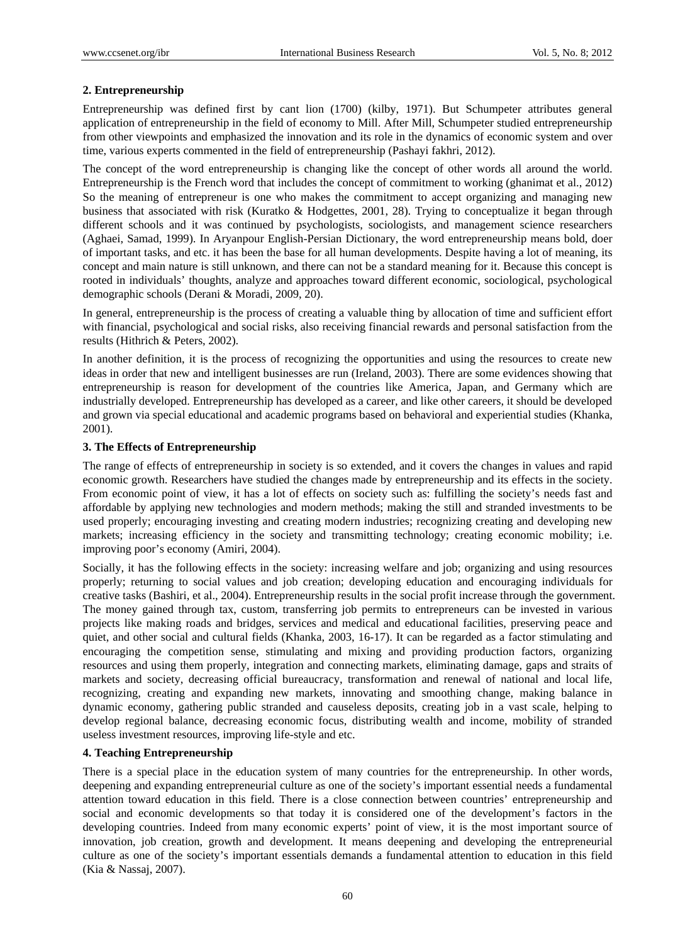## **2. Entrepreneurship**

Entrepreneurship was defined first by cant lion (1700) (kilby, 1971). But Schumpeter attributes general application of entrepreneurship in the field of economy to Mill. After Mill, Schumpeter studied entrepreneurship from other viewpoints and emphasized the innovation and its role in the dynamics of economic system and over time, various experts commented in the field of entrepreneurship (Pashayi fakhri, 2012).

The concept of the word entrepreneurship is changing like the concept of other words all around the world. Entrepreneurship is the French word that includes the concept of commitment to working (ghanimat et al., 2012) So the meaning of entrepreneur is one who makes the commitment to accept organizing and managing new business that associated with risk (Kuratko & Hodgettes, 2001, 28). Trying to conceptualize it began through different schools and it was continued by psychologists, sociologists, and management science researchers (Aghaei, Samad, 1999). In Aryanpour English-Persian Dictionary, the word entrepreneurship means bold, doer of important tasks, and etc. it has been the base for all human developments. Despite having a lot of meaning, its concept and main nature is still unknown, and there can not be a standard meaning for it. Because this concept is rooted in individuals' thoughts, analyze and approaches toward different economic, sociological, psychological demographic schools (Derani & Moradi, 2009, 20).

In general, entrepreneurship is the process of creating a valuable thing by allocation of time and sufficient effort with financial, psychological and social risks, also receiving financial rewards and personal satisfaction from the results (Hithrich & Peters, 2002).

In another definition, it is the process of recognizing the opportunities and using the resources to create new ideas in order that new and intelligent businesses are run (Ireland, 2003). There are some evidences showing that entrepreneurship is reason for development of the countries like America, Japan, and Germany which are industrially developed. Entrepreneurship has developed as a career, and like other careers, it should be developed and grown via special educational and academic programs based on behavioral and experiential studies (Khanka, 2001).

# **3. The Effects of Entrepreneurship**

The range of effects of entrepreneurship in society is so extended, and it covers the changes in values and rapid economic growth. Researchers have studied the changes made by entrepreneurship and its effects in the society. From economic point of view, it has a lot of effects on society such as: fulfilling the society's needs fast and affordable by applying new technologies and modern methods; making the still and stranded investments to be used properly; encouraging investing and creating modern industries; recognizing creating and developing new markets; increasing efficiency in the society and transmitting technology; creating economic mobility; i.e. improving poor's economy (Amiri, 2004).

Socially, it has the following effects in the society: increasing welfare and job; organizing and using resources properly; returning to social values and job creation; developing education and encouraging individuals for creative tasks (Bashiri, et al., 2004). Entrepreneurship results in the social profit increase through the government. The money gained through tax, custom, transferring job permits to entrepreneurs can be invested in various projects like making roads and bridges, services and medical and educational facilities, preserving peace and quiet, and other social and cultural fields (Khanka, 2003, 16-17). It can be regarded as a factor stimulating and encouraging the competition sense, stimulating and mixing and providing production factors, organizing resources and using them properly, integration and connecting markets, eliminating damage, gaps and straits of markets and society, decreasing official bureaucracy, transformation and renewal of national and local life, recognizing, creating and expanding new markets, innovating and smoothing change, making balance in dynamic economy, gathering public stranded and causeless deposits, creating job in a vast scale, helping to develop regional balance, decreasing economic focus, distributing wealth and income, mobility of stranded useless investment resources, improving life-style and etc.

# **4. Teaching Entrepreneurship**

There is a special place in the education system of many countries for the entrepreneurship. In other words, deepening and expanding entrepreneurial culture as one of the society's important essential needs a fundamental attention toward education in this field. There is a close connection between countries' entrepreneurship and social and economic developments so that today it is considered one of the development's factors in the developing countries. Indeed from many economic experts' point of view, it is the most important source of innovation, job creation, growth and development. It means deepening and developing the entrepreneurial culture as one of the society's important essentials demands a fundamental attention to education in this field (Kia & Nassaj, 2007).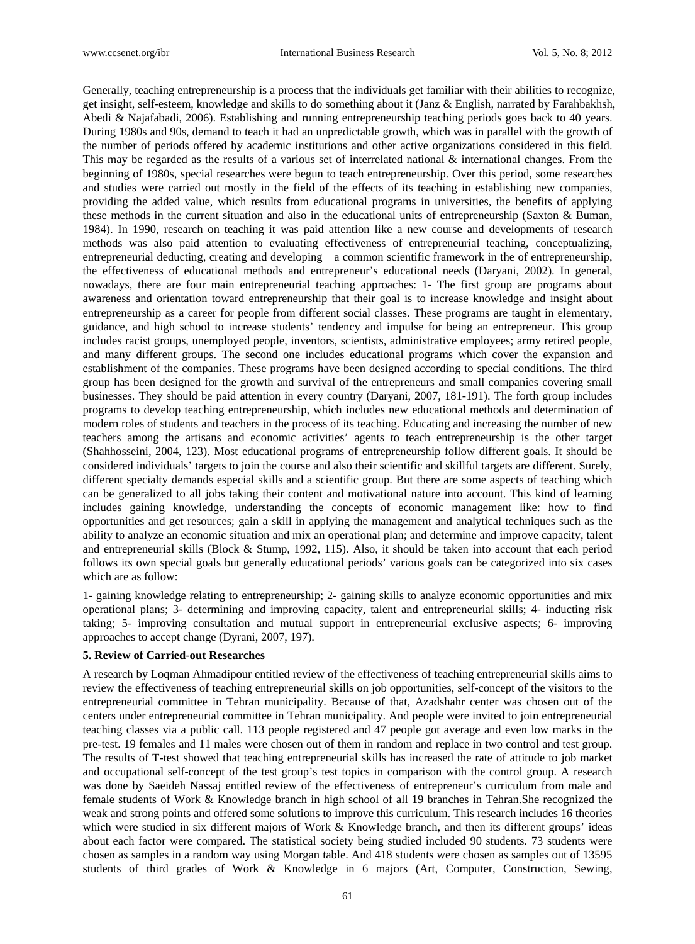Generally, teaching entrepreneurship is a process that the individuals get familiar with their abilities to recognize, get insight, self-esteem, knowledge and skills to do something about it (Janz & English, narrated by Farahbakhsh, Abedi & Najafabadi, 2006). Establishing and running entrepreneurship teaching periods goes back to 40 years. During 1980s and 90s, demand to teach it had an unpredictable growth, which was in parallel with the growth of the number of periods offered by academic institutions and other active organizations considered in this field. This may be regarded as the results of a various set of interrelated national  $\&$  international changes. From the beginning of 1980s, special researches were begun to teach entrepreneurship. Over this period, some researches and studies were carried out mostly in the field of the effects of its teaching in establishing new companies, providing the added value, which results from educational programs in universities, the benefits of applying these methods in the current situation and also in the educational units of entrepreneurship (Saxton & Buman, 1984). In 1990, research on teaching it was paid attention like a new course and developments of research methods was also paid attention to evaluating effectiveness of entrepreneurial teaching, conceptualizing, entrepreneurial deducting, creating and developing a common scientific framework in the of entrepreneurship, the effectiveness of educational methods and entrepreneur's educational needs (Daryani, 2002). In general, nowadays, there are four main entrepreneurial teaching approaches: 1- The first group are programs about awareness and orientation toward entrepreneurship that their goal is to increase knowledge and insight about entrepreneurship as a career for people from different social classes. These programs are taught in elementary, guidance, and high school to increase students' tendency and impulse for being an entrepreneur. This group includes racist groups, unemployed people, inventors, scientists, administrative employees; army retired people, and many different groups. The second one includes educational programs which cover the expansion and establishment of the companies. These programs have been designed according to special conditions. The third group has been designed for the growth and survival of the entrepreneurs and small companies covering small businesses. They should be paid attention in every country (Daryani, 2007, 181-191). The forth group includes programs to develop teaching entrepreneurship, which includes new educational methods and determination of modern roles of students and teachers in the process of its teaching. Educating and increasing the number of new teachers among the artisans and economic activities' agents to teach entrepreneurship is the other target (Shahhosseini, 2004, 123). Most educational programs of entrepreneurship follow different goals. It should be considered individuals' targets to join the course and also their scientific and skillful targets are different. Surely, different specialty demands especial skills and a scientific group. But there are some aspects of teaching which can be generalized to all jobs taking their content and motivational nature into account. This kind of learning includes gaining knowledge, understanding the concepts of economic management like: how to find opportunities and get resources; gain a skill in applying the management and analytical techniques such as the ability to analyze an economic situation and mix an operational plan; and determine and improve capacity, talent and entrepreneurial skills (Block & Stump, 1992, 115). Also, it should be taken into account that each period follows its own special goals but generally educational periods' various goals can be categorized into six cases which are as follow:

1- gaining knowledge relating to entrepreneurship; 2- gaining skills to analyze economic opportunities and mix operational plans; 3- determining and improving capacity, talent and entrepreneurial skills; 4- inducting risk taking; 5- improving consultation and mutual support in entrepreneurial exclusive aspects; 6- improving approaches to accept change (Dyrani, 2007, 197).

#### **5. Review of Carried-out Researches**

A research by Loqman Ahmadipour entitled review of the effectiveness of teaching entrepreneurial skills aims to review the effectiveness of teaching entrepreneurial skills on job opportunities, self-concept of the visitors to the entrepreneurial committee in Tehran municipality. Because of that, Azadshahr center was chosen out of the centers under entrepreneurial committee in Tehran municipality. And people were invited to join entrepreneurial teaching classes via a public call. 113 people registered and 47 people got average and even low marks in the pre-test. 19 females and 11 males were chosen out of them in random and replace in two control and test group. The results of T-test showed that teaching entrepreneurial skills has increased the rate of attitude to job market and occupational self-concept of the test group's test topics in comparison with the control group. A research was done by Saeideh Nassaj entitled review of the effectiveness of entrepreneur's curriculum from male and female students of Work & Knowledge branch in high school of all 19 branches in Tehran.She recognized the weak and strong points and offered some solutions to improve this curriculum. This research includes 16 theories which were studied in six different majors of Work & Knowledge branch, and then its different groups' ideas about each factor were compared. The statistical society being studied included 90 students. 73 students were chosen as samples in a random way using Morgan table. And 418 students were chosen as samples out of 13595 students of third grades of Work & Knowledge in 6 majors (Art, Computer, Construction, Sewing,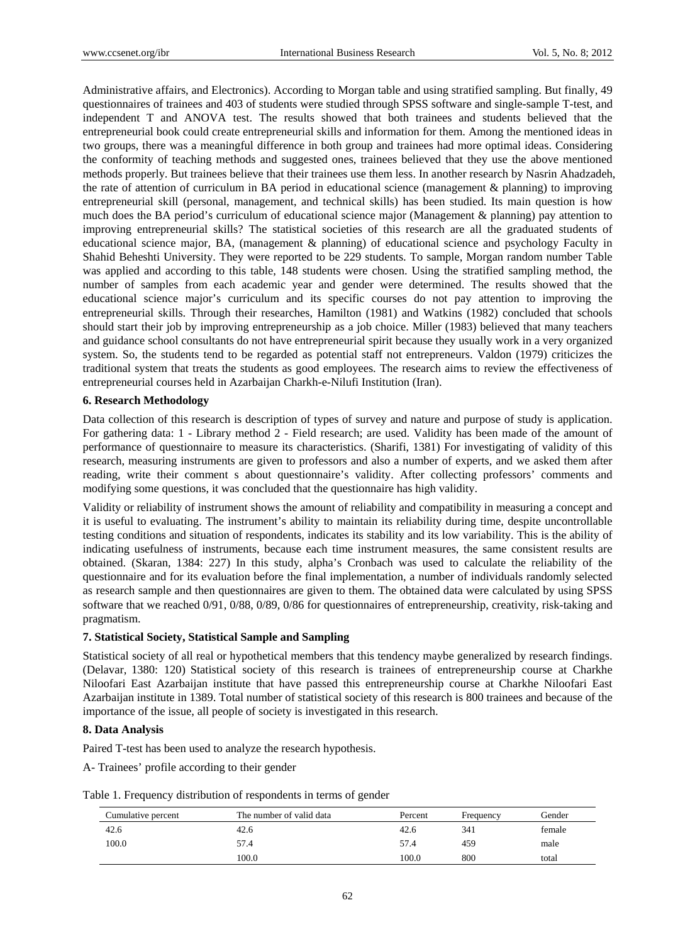Administrative affairs, and Electronics). According to Morgan table and using stratified sampling. But finally, 49 questionnaires of trainees and 403 of students were studied through SPSS software and single-sample T-test, and independent T and ANOVA test. The results showed that both trainees and students believed that the entrepreneurial book could create entrepreneurial skills and information for them. Among the mentioned ideas in two groups, there was a meaningful difference in both group and trainees had more optimal ideas. Considering the conformity of teaching methods and suggested ones, trainees believed that they use the above mentioned methods properly. But trainees believe that their trainees use them less. In another research by Nasrin Ahadzadeh, the rate of attention of curriculum in BA period in educational science (management & planning) to improving entrepreneurial skill (personal, management, and technical skills) has been studied. Its main question is how much does the BA period's curriculum of educational science major (Management & planning) pay attention to improving entrepreneurial skills? The statistical societies of this research are all the graduated students of educational science major, BA, (management & planning) of educational science and psychology Faculty in Shahid Beheshti University. They were reported to be 229 students. To sample, Morgan random number Table was applied and according to this table, 148 students were chosen. Using the stratified sampling method, the number of samples from each academic year and gender were determined. The results showed that the educational science major's curriculum and its specific courses do not pay attention to improving the entrepreneurial skills. Through their researches, Hamilton (1981) and Watkins (1982) concluded that schools should start their job by improving entrepreneurship as a job choice. Miller (1983) believed that many teachers and guidance school consultants do not have entrepreneurial spirit because they usually work in a very organized system. So, the students tend to be regarded as potential staff not entrepreneurs. Valdon (1979) criticizes the traditional system that treats the students as good employees. The research aims to review the effectiveness of entrepreneurial courses held in Azarbaijan Charkh-e-Nilufi Institution (Iran).

#### **6. Research Methodology**

Data collection of this research is description of types of survey and nature and purpose of study is application. For gathering data: 1 - Library method 2 - Field research; are used. Validity has been made of the amount of performance of questionnaire to measure its characteristics. (Sharifi, 1381) For investigating of validity of this research, measuring instruments are given to professors and also a number of experts, and we asked them after reading, write their comment s about questionnaire's validity. After collecting professors' comments and modifying some questions, it was concluded that the questionnaire has high validity.

Validity or reliability of instrument shows the amount of reliability and compatibility in measuring a concept and it is useful to evaluating. The instrument's ability to maintain its reliability during time, despite uncontrollable testing conditions and situation of respondents, indicates its stability and its low variability. This is the ability of indicating usefulness of instruments, because each time instrument measures, the same consistent results are obtained. (Skaran, 1384: 227) In this study, alpha's Cronbach was used to calculate the reliability of the questionnaire and for its evaluation before the final implementation, a number of individuals randomly selected as research sample and then questionnaires are given to them. The obtained data were calculated by using SPSS software that we reached 0/91, 0/88, 0/89, 0/86 for questionnaires of entrepreneurship, creativity, risk-taking and pragmatism.

## **7. Statistical Society, Statistical Sample and Sampling**

Statistical society of all real or hypothetical members that this tendency maybe generalized by research findings. (Delavar, 1380: 120) Statistical society of this research is trainees of entrepreneurship course at Charkhe Niloofari East Azarbaijan institute that have passed this entrepreneurship course at Charkhe Niloofari East Azarbaijan institute in 1389. Total number of statistical society of this research is 800 trainees and because of the importance of the issue, all people of society is investigated in this research.

## **8. Data Analysis**

Paired T-test has been used to analyze the research hypothesis.

A- Trainees' profile according to their gender

|  |  |  | Table 1. Frequency distribution of respondents in terms of gender |  |
|--|--|--|-------------------------------------------------------------------|--|
|  |  |  |                                                                   |  |

| Cumulative percent | The number of valid data | Percent | Frequency | Gender |
|--------------------|--------------------------|---------|-----------|--------|
| 42.6               | 42.6                     | 42.6    | 341       | female |
| 100.0              | 57.4                     | 57.4    | 459       | male   |
|                    | 100.0                    | 100.0   | 800       | total  |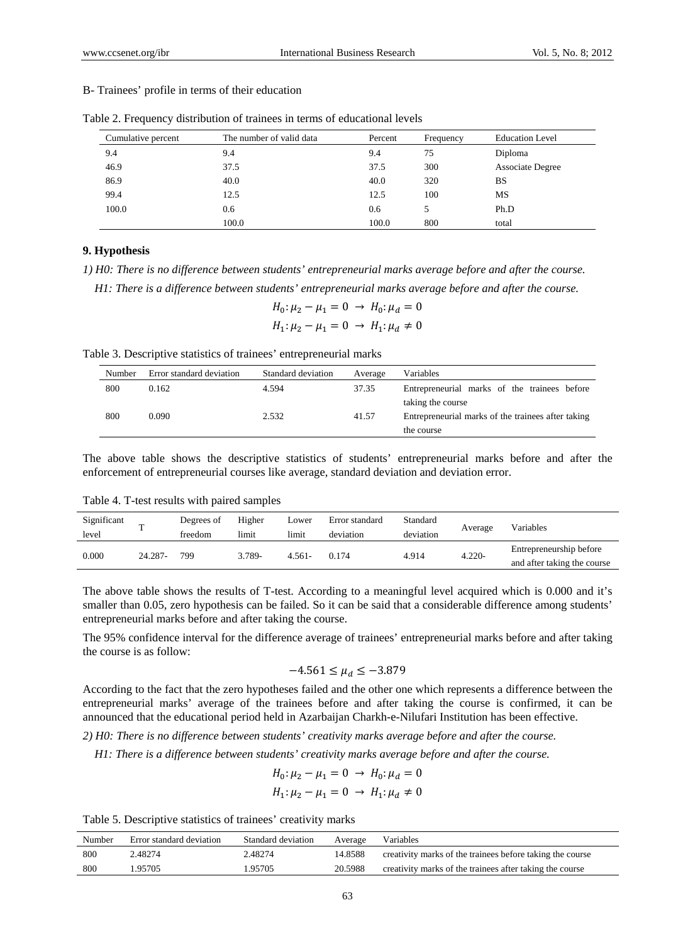## B- Trainees' profile in terms of their education

Table 2. Frequency distribution of trainees in terms of educational levels

| Cumulative percent | The number of valid data | Percent | Frequency | <b>Education Level</b>  |
|--------------------|--------------------------|---------|-----------|-------------------------|
| 9.4                | 9.4                      | 9.4     | 75        | Diploma                 |
| 46.9               | 37.5                     | 37.5    | 300       | <b>Associate Degree</b> |
| 86.9               | 40.0                     | 40.0    | 320       | BS                      |
| 99.4               | 12.5                     | 12.5    | 100       | MS                      |
| 100.0              | 0.6                      | 0.6     |           | Ph.D                    |
|                    | 100.0                    | 100.0   | 800       | total                   |

#### 9. Hypothesis

1) H0: There is no difference between students' entrepreneurial marks average before and after the course.

H1: There is a difference between students' entrepreneurial marks average before and after the course.

$$
H_0: \mu_2 - \mu_1 = 0 \to H_0: \mu_d = 0
$$
  

$$
H_1: \mu_2 - \mu_1 = 0 \to H_1: \mu_d \neq 0
$$

Table 3. Descriptive statistics of trainees' entrepreneurial marks

| Number | Error standard deviation | Standard deviation | Average | Variables                                          |
|--------|--------------------------|--------------------|---------|----------------------------------------------------|
| 800    | 0.162                    | 4.594              | 37.35   | Entrepreneurial marks of the trainees before       |
|        |                          |                    |         | taking the course                                  |
| 800    | 0.090                    | 2.532              | 41.57   | Entrepreneurial marks of the trainees after taking |
|        |                          |                    |         | the course                                         |

The above table shows the descriptive statistics of students' entrepreneurial marks before and after the enforcement of entrepreneurial courses like average, standard deviation and deviation error.

Table 4. T-test results with paired samples

| Significant<br>level | m       | Degrees of<br>freedom | Higher<br>limit | Lower<br>limit | Error standard<br>deviation | Standard<br>deviation | Average   | Variables                                              |
|----------------------|---------|-----------------------|-----------------|----------------|-----------------------------|-----------------------|-----------|--------------------------------------------------------|
| 0.000                | 24.287- | 799                   | 3.789-          | $4.561-$       | 0.174                       | 4.914                 | $4.220 -$ | Entrepreneurship before<br>and after taking the course |

The above table shows the results of T-test. According to a meaningful level acquired which is 0.000 and it's smaller than 0.05, zero hypothesis can be failed. So it can be said that a considerable difference among students' entrepreneurial marks before and after taking the course.

The 95% confidence interval for the difference average of trainees' entrepreneurial marks before and after taking the course is as follow:

$$
-4.561 \le \mu_d \le -3.879
$$

According to the fact that the zero hypotheses failed and the other one which represents a difference between the entrepreneurial marks' average of the trainees before and after taking the course is confirmed, it can be announced that the educational period held in Azarbaijan Charkh-e-Nilufari Institution has been effective.

2) H0: There is no difference between students' creativity marks average before and after the course.

H1: There is a difference between students' creativity marks average before and after the course.

$$
H_0: \mu_2 - \mu_1 = 0 \to H_0: \mu_d = 0
$$
  

$$
H_1: \mu_2 - \mu_1 = 0 \to H_1: \mu_d \neq 0
$$

Table 5. Descriptive statistics of trainees' creativity marks

| Number | Error standard deviation | Standard deviation | Average | Variables                                                 |
|--------|--------------------------|--------------------|---------|-----------------------------------------------------------|
| 800    | 2.48274                  | 2.48274            | 14.8588 | creativity marks of the trainees before taking the course |
| 800    | .95705                   | .95705             | 20.5988 | creativity marks of the trainees after taking the course  |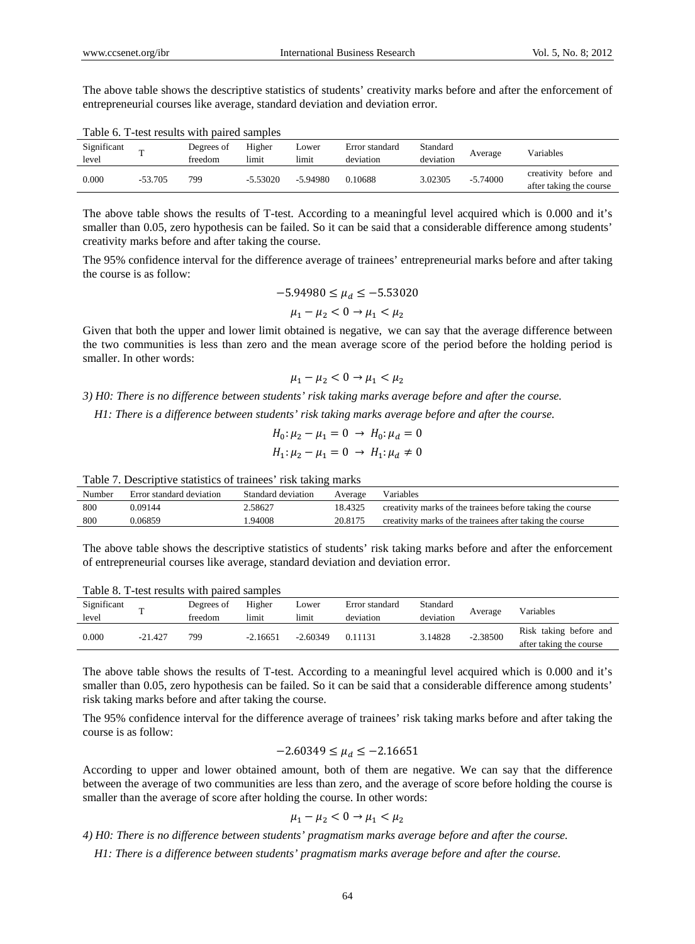The above table shows the descriptive statistics of students' creativity marks before and after the enforcement of entrepreneurial courses like average, standard deviation and deviation error.

| Table 6. T-test results with paired samples |  |  |
|---------------------------------------------|--|--|
|                                             |  |  |

| Significant | m         | Degrees of | Higher     | Lower      | Error standard | Standard  |            | Variables                                        |
|-------------|-----------|------------|------------|------------|----------------|-----------|------------|--------------------------------------------------|
| level       |           | freedom    | limit      | limit      | deviation      | deviation | Average    |                                                  |
| 0.000       | $-53.705$ | 799        | $-5.53020$ | $-5.94980$ | 0.10688        | 3.02305   | $-5.74000$ | creativity before and<br>after taking the course |

The above table shows the results of T-test. According to a meaningful level acquired which is 0.000 and it's smaller than 0.05, zero hypothesis can be failed. So it can be said that a considerable difference among students' creativity marks before and after taking the course.

The 95% confidence interval for the difference average of trainees' entrepreneurial marks before and after taking the course is as follow:

$$
-5.94980 \le \mu_d \le -5.53020
$$

$$
\mu_1 - \mu_2 < 0 \to \mu_1 < \mu_2
$$

Given that both the upper and lower limit obtained is negative, we can say that the average difference between the two communities is less than zero and the mean average score of the period before the holding period is smaller. In other words:

$$
\mu_1 - \mu_2 < 0 \to \mu_1 < \mu_2
$$

3) H0: There is no difference between students' risk taking marks average before and after the course.

H1: There is a difference between students' risk taking marks average before and after the course.

$$
H_0: \mu_2 - \mu_1 = 0 \to H_0: \mu_d = 0
$$
  

$$
H_1: \mu_2 - \mu_1 = 0 \to H_1: \mu_d \neq 0
$$

| Table 7. Descriptive statistics of trainees' risk taking marks |                          |                    |         |                                                           |  |  |  |  |  |
|----------------------------------------------------------------|--------------------------|--------------------|---------|-----------------------------------------------------------|--|--|--|--|--|
| Number                                                         | Error standard deviation | Standard deviation | Average | Variables                                                 |  |  |  |  |  |
| 800                                                            | 0.09144                  | 2.58627            | 18.4325 | creativity marks of the trainees before taking the course |  |  |  |  |  |
| 800                                                            | 0.06859                  | .94008             | 20.8175 | creativity marks of the trainees after taking the course  |  |  |  |  |  |

The above table shows the descriptive statistics of students' risk taking marks before and after the enforcement of entrepreneurial courses like average, standard deviation and deviation error.

| Table 8. T-test results with paired samples |  |  |  |  |
|---------------------------------------------|--|--|--|--|
|---------------------------------------------|--|--|--|--|

| Significant<br>level | m         | Degrees of<br>freedom | Higher<br>limit | Lower<br>limit | Error standard<br>deviation | Standard<br>deviation | Average    | Variables                                         |
|----------------------|-----------|-----------------------|-----------------|----------------|-----------------------------|-----------------------|------------|---------------------------------------------------|
| 0.000                | $-21.427$ | 799                   | $-2.16651$      | $-2.60349$     | 0.11131                     | 3.14828               | $-2.38500$ | Risk taking before and<br>after taking the course |

The above table shows the results of T-test. According to a meaningful level acquired which is 0.000 and it's smaller than 0.05, zero hypothesis can be failed. So it can be said that a considerable difference among students' risk taking marks before and after taking the course.

The 95% confidence interval for the difference average of trainees' risk taking marks before and after taking the course is as follow:

$$
-2.60349 \le \mu_d \le -2.16651
$$

According to upper and lower obtained amount, both of them are negative. We can say that the difference between the average of two communities are less than zero, and the average of score before holding the course is smaller than the average of score after holding the course. In other words:

$$
\mu_1 - \mu_2 < 0 \to \mu_1 < \mu_2
$$

4) H0: There is no difference between students' pragmatism marks average before and after the course.

H1: There is a difference between students' pragmatism marks average before and after the course.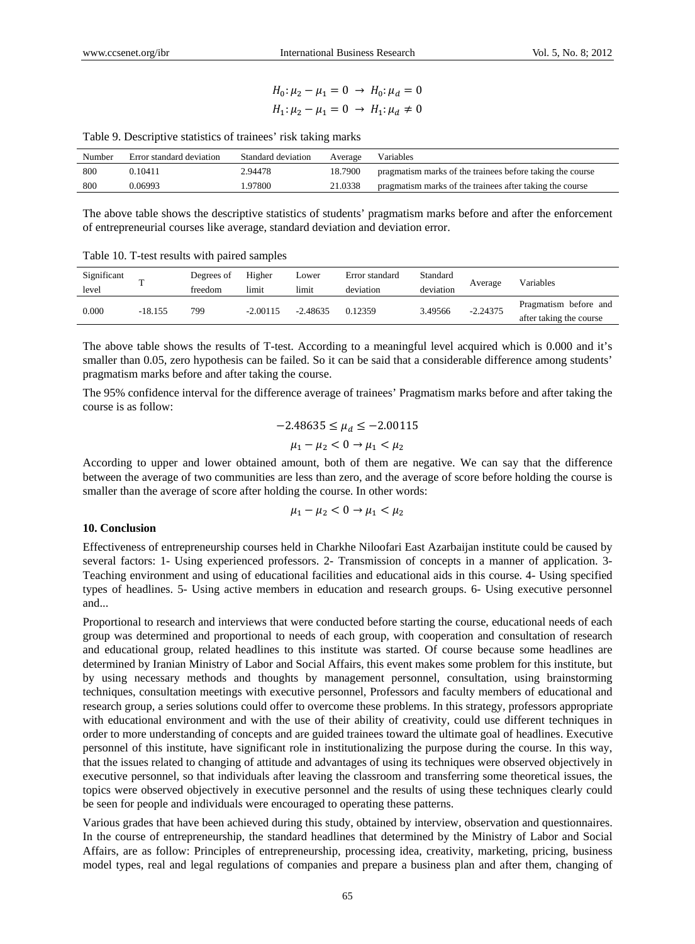$$
H_0: \mu_2 - \mu_1 = 0 \to H_0: \mu_d = 0
$$
  

$$
H_1: \mu_2 - \mu_1 = 0 \to H_1: \mu_d \neq 0
$$

| Table 9. Descriptive statistics of trainees' risk taking marks |  |
|----------------------------------------------------------------|--|
|----------------------------------------------------------------|--|

| Number | Error standard deviation | Standard deviation | Average | Variables                                                 |
|--------|--------------------------|--------------------|---------|-----------------------------------------------------------|
| 800    | 0.10411                  | 2.94478            | 18.7900 | pragmatism marks of the trainees before taking the course |
| 800    | 0.06993                  | .97800             | 21.0338 | pragmatism marks of the trainees after taking the course  |

The above table shows the descriptive statistics of students' pragmatism marks before and after the enforcement of entrepreneurial courses like average, standard deviation and deviation error.

Table 10. T-test results with paired samples

| Significant<br>level |           | Degrees of<br>freedom | Higher<br>limit | Lower<br>limit | Error standard<br>deviation | Standard<br>deviation | Average    | Variables                                        |
|----------------------|-----------|-----------------------|-----------------|----------------|-----------------------------|-----------------------|------------|--------------------------------------------------|
| 0.000                | $-18.155$ | 799                   | $-2.00115$      | $-2.48635$     | 0.12359                     | 3.49566               | $-2.24375$ | Pragmatism before and<br>after taking the course |

The above table shows the results of T-test. According to a meaningful level acquired which is 0.000 and it's smaller than 0.05, zero hypothesis can be failed. So it can be said that a considerable difference among students' pragmatism marks before and after taking the course.

The 95% confidence interval for the difference average of trainees' Pragmatism marks before and after taking the course is as follow:

$$
-2.48635 \le \mu_d \le -2.00115
$$

$$
\mu_1 - \mu_2 < 0 \to \mu_1 < \mu_2
$$

According to upper and lower obtained amount, both of them are negative. We can say that the difference between the average of two communities are less than zero, and the average of score before holding the course is smaller than the average of score after holding the course. In other words:

$$
\mu_1-\mu_2<0\rightarrow \mu_1<\mu_2
$$

#### **10. Conclusion**

Effectiveness of entrepreneurship courses held in Charkhe Niloofari East Azarbaijan institute could be caused by several factors: 1- Using experienced professors. 2- Transmission of concepts in a manner of application. 3- Teaching environment and using of educational facilities and educational aids in this course. 4- Using specified types of headlines. 5- Using active members in education and research groups. 6- Using executive personnel and...

Proportional to research and interviews that were conducted before starting the course, educational needs of each group was determined and proportional to needs of each group, with cooperation and consultation of research and educational group, related headlines to this institute was started. Of course because some headlines are determined by Iranian Ministry of Labor and Social Affairs, this event makes some problem for this institute, but by using necessary methods and thoughts by management personnel, consultation, using brainstorming techniques, consultation meetings with executive personnel, Professors and faculty members of educational and research group, a series solutions could offer to overcome these problems. In this strategy, professors appropriate with educational environment and with the use of their ability of creativity, could use different techniques in order to more understanding of concepts and are guided trainees toward the ultimate goal of headlines. Executive personnel of this institute, have significant role in institutionalizing the purpose during the course. In this way, that the issues related to changing of attitude and advantages of using its techniques were observed objectively in executive personnel, so that individuals after leaving the classroom and transferring some theoretical issues, the topics were observed objectively in executive personnel and the results of using these techniques clearly could be seen for people and individuals were encouraged to operating these patterns.

Various grades that have been achieved during this study, obtained by interview, observation and questionnaires. In the course of entrepreneurship, the standard headlines that determined by the Ministry of Labor and Social Affairs, are as follow: Principles of entrepreneurship, processing idea, creativity, marketing, pricing, business model types, real and legal regulations of companies and prepare a business plan and after them, changing of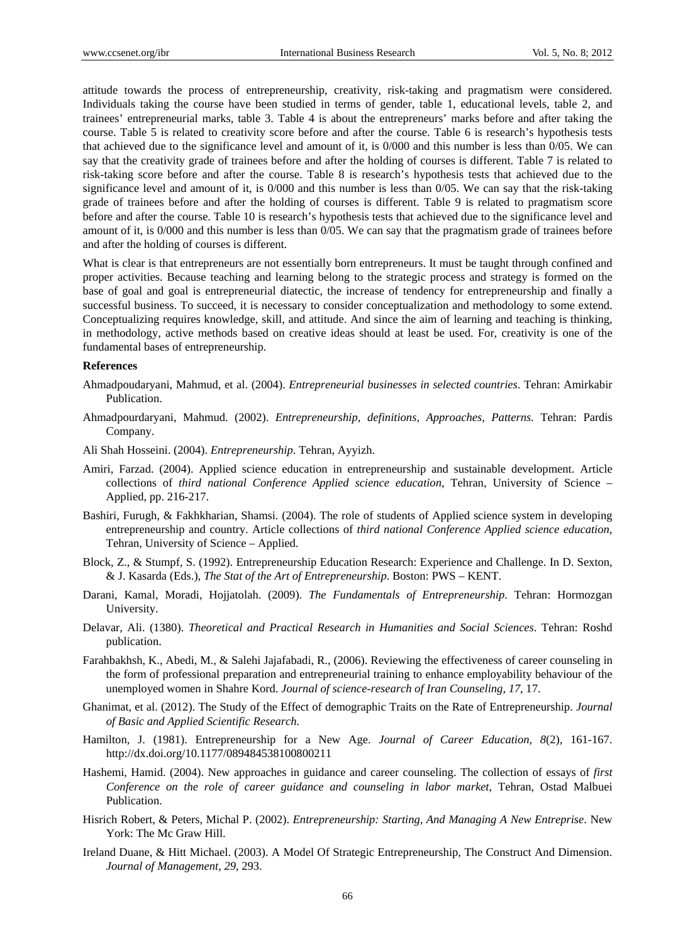attitude towards the process of entrepreneurship, creativity, risk-taking and pragmatism were considered. Individuals taking the course have been studied in terms of gender, table 1, educational levels, table 2, and trainees' entrepreneurial marks, table 3. Table 4 is about the entrepreneurs' marks before and after taking the course. Table 5 is related to creativity score before and after the course. Table 6 is research's hypothesis tests that achieved due to the significance level and amount of it, is 0/000 and this number is less than 0/05. We can say that the creativity grade of trainees before and after the holding of courses is different. Table 7 is related to risk-taking score before and after the course. Table 8 is research's hypothesis tests that achieved due to the significance level and amount of it, is 0/000 and this number is less than 0/05. We can say that the risk-taking grade of trainees before and after the holding of courses is different. Table 9 is related to pragmatism score before and after the course. Table 10 is research's hypothesis tests that achieved due to the significance level and amount of it, is 0/000 and this number is less than 0/05. We can say that the pragmatism grade of trainees before and after the holding of courses is different.

What is clear is that entrepreneurs are not essentially born entrepreneurs. It must be taught through confined and proper activities. Because teaching and learning belong to the strategic process and strategy is formed on the base of goal and goal is entrepreneurial diatectic, the increase of tendency for entrepreneurship and finally a successful business. To succeed, it is necessary to consider conceptualization and methodology to some extend. Conceptualizing requires knowledge, skill, and attitude. And since the aim of learning and teaching is thinking, in methodology, active methods based on creative ideas should at least be used. For, creativity is one of the fundamental bases of entrepreneurship.

#### **References**

- Ahmadpoudaryani, Mahmud, et al. (2004). *Entrepreneurial businesses in selected countries*. Tehran: Amirkabir Publication.
- Ahmadpourdaryani, Mahmud. (2002). *Entrepreneurship, definitions, Approaches, Patterns*. Tehran: Pardis Company.
- Ali Shah Hosseini. (2004). *Entrepreneurship*. Tehran, Ayyizh.
- Amiri, Farzad. (2004). Applied science education in entrepreneurship and sustainable development. Article collections of *third national Conference Applied science education*, Tehran, University of Science – Applied, pp. 216-217.
- Bashiri, Furugh, & Fakhkharian, Shamsi. (2004). The role of students of Applied science system in developing entrepreneurship and country. Article collections of *third national Conference Applied science education*, Tehran, University of Science – Applied.
- Block, Z., & Stumpf, S. (1992). Entrepreneurship Education Research: Experience and Challenge. In D. Sexton, & J. Kasarda (Eds.), *The Stat of the Art of Entrepreneurship*. Boston: PWS – KENT.
- Darani, Kamal, Moradi, Hojjatolah. (2009). *The Fundamentals of Entrepreneurship*. Tehran: Hormozgan University.
- Delavar, Ali. (1380). *Theoretical and Practical Research in Humanities and Social Sciences*. Tehran: Roshd publication.
- Farahbakhsh, K., Abedi, M., & Salehi Jajafabadi, R., (2006). Reviewing the effectiveness of career counseling in the form of professional preparation and entrepreneurial training to enhance employability behaviour of the unemployed women in Shahre Kord. *Journal of science-research of Iran Counseling, 17*, 17.
- Ghanimat, et al. (2012). The Study of the Effect of demographic Traits on the Rate of Entrepreneurship. *Journal of Basic and Applied Scientific Research*.
- Hamilton, J. (1981). Entrepreneurship for a New Age. *Journal of Career Education, 8*(2), 161-167. http://dx.doi.org/10.1177/089484538100800211
- Hashemi, Hamid. (2004). New approaches in guidance and career counseling. The collection of essays of *first Conference on the role of career guidance and counseling in labor market*, Tehran, Ostad Malbuei Publication.
- Hisrich Robert, & Peters, Michal P. (2002). *Entrepreneurship: Starting, And Managing A New Entreprise*. New York: The Mc Graw Hill.
- Ireland Duane, & Hitt Michael. (2003). A Model Of Strategic Entrepreneurship, The Construct And Dimension. *Journal of Management, 29*, 293.